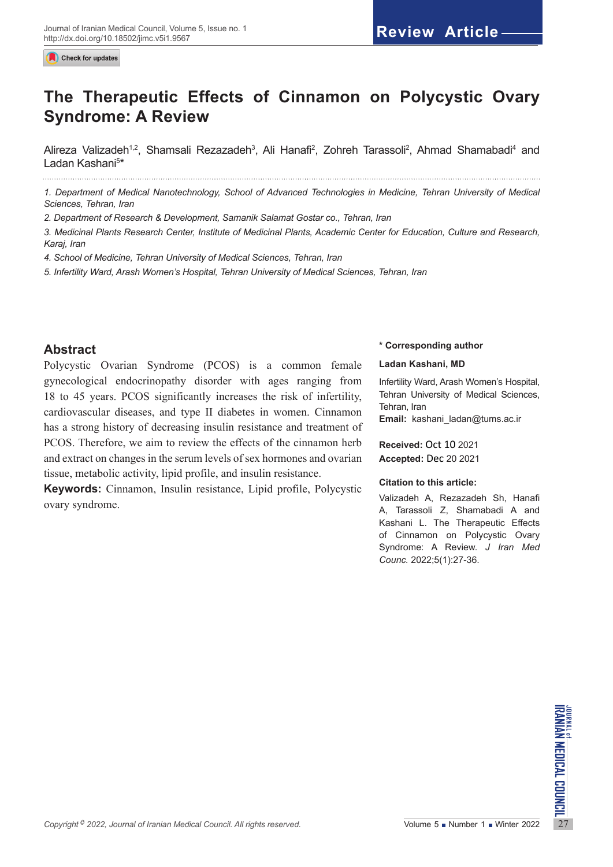Check for updates

# **The Therapeutic Effects of Cinnamon on Polycystic Ovary Syndrome: A Review**

Alireza Valizadeh<sup>1,2</sup>, Shamsali Rezazadeh<sup>3</sup>, Ali Hanafi<sup>2</sup>, Zohreh Tarassoli<sup>2</sup>, Ahmad Shamabadi<sup>4</sup> and Ladan Kashani<sup>5</sup>\*

*1. Department of Medical Nanotechnology, School of Advanced Technologies in Medicine, Tehran University of Medical Sciences, Tehran, Iran*

*2. Department of Research & Development, Samanik Salamat Gostar co., Tehran, Iran*

*3. Medicinal Plants Research Center, Institute of Medicinal Plants, Academic Center for Education, Culture and Research, Karaj, Iran*

*4. School of Medicine, Tehran University of Medical Sciences, Tehran, Iran*

*5. Infertility Ward, Arash Women's Hospital, Tehran University of Medical Sciences, Tehran, Iran*

# **Abstract**

Polycystic Ovarian Syndrome (PCOS) is a common female gynecological endocrinopathy disorder with ages ranging from 18 to 45 years. PCOS significantly increases the risk of infertility, cardiovascular diseases, and type II diabetes in women. Cinnamon has a strong history of decreasing insulin resistance and treatment of PCOS. Therefore, we aim to review the effects of the cinnamon herb and extract on changes in the serum levels of sex hormones and ovarian tissue, metabolic activity, lipid profile, and insulin resistance.

**Keywords:** Cinnamon, Insulin resistance, Lipid profile, Polycystic ovary syndrome.

#### **\* Corresponding author**

#### **Ladan Kashani, MD**

Infertility Ward, Arash Women's Hospital, Tehran University of Medical Sciences, Tehran, Iran **Email:** kashani\_ladan@tums.ac.ir

**Received:** Oct 10 2021 **Accepted:** Dec 20 2021

#### **Citation to this article:**

Valizadeh A, Rezazadeh Sh, Hanafi A, Tarassoli Z, Shamabadi A and Kashani L. The Therapeutic Effects of Cinnamon on Polycystic Ovary Syndrome: A Review. *J Iran Med Counc.* 2022;5(1):27-36.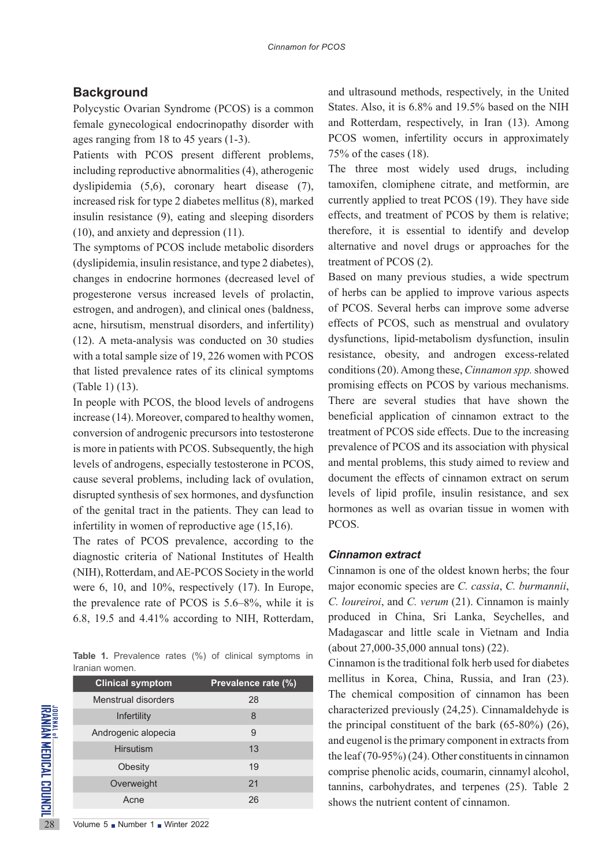# **Background**

Polycystic Ovarian Syndrome (PCOS) is a common female gynecological endocrinopathy disorder with ages ranging from 18 to 45 years (1-3).

Patients with PCOS present different problems, including reproductive abnormalities (4), atherogenic dyslipidemia (5,6), coronary heart disease (7), increased risk for type 2 diabetes mellitus (8), marked insulin resistance (9), eating and sleeping disorders (10), and anxiety and depression (11).

The symptoms of PCOS include metabolic disorders (dyslipidemia, insulin resistance, and type 2 diabetes), changes in endocrine hormones (decreased level of progesterone versus increased levels of prolactin, estrogen, and androgen), and clinical ones (baldness, acne, hirsutism, menstrual disorders, and infertility) (12). A meta-analysis was conducted on 30 studies with a total sample size of 19, 226 women with PCOS that listed prevalence rates of its clinical symptoms (Table 1) (13).

In people with PCOS, the blood levels of androgens increase (14). Moreover, compared to healthy women, conversion of androgenic precursors into testosterone is more in patients with PCOS. Subsequently, the high levels of androgens, especially testosterone in PCOS, cause several problems, including lack of ovulation, disrupted synthesis of sex hormones, and dysfunction of the genital tract in the patients. They can lead to infertility in women of reproductive age (15,16).

The rates of PCOS prevalence, according to the diagnostic criteria of National Institutes of Health (NIH), Rotterdam, and AE-PCOS Society in the world were 6, 10, and 10%, respectively (17). In Europe, the prevalence rate of PCOS is 5.6–8%, while it is 6.8, 19.5 and 4.41% according to NIH, Rotterdam,

**Table 1.** Prevalence rates (%) of clinical symptoms in Iranian women.

|                                                                                         | <b>Clinical symptom</b>       | Prevalence rate (%) |
|-----------------------------------------------------------------------------------------|-------------------------------|---------------------|
|                                                                                         | Menstrual disorders           | 28                  |
|                                                                                         | Infertility                   | 8                   |
|                                                                                         | Androgenic alopecia           | 9                   |
|                                                                                         | <b>Hirsutism</b>              | 13                  |
|                                                                                         | Obesity                       | 19                  |
|                                                                                         | Overweight                    | 21                  |
|                                                                                         | Acne                          | 26                  |
| <b>URANIAN MEDICAL COUNCIL <sup>es</sup> :</b><br>IRANIAN MEDICAL COUNCIL <sup>es</sup> | Volume 5 Number 1 Winter 2022 |                     |

and ultrasound methods, respectively, in the United States. Also, it is 6.8% and 19.5% based on the NIH and Rotterdam, respectively, in Iran (13). Among PCOS women, infertility occurs in approximately 75% of the cases (18).

The three most widely used drugs, including tamoxifen, clomiphene citrate, and metformin, are currently applied to treat PCOS (19). They have side effects, and treatment of PCOS by them is relative; therefore, it is essential to identify and develop alternative and novel drugs or approaches for the treatment of PCOS (2).

Based on many previous studies, a wide spectrum of herbs can be applied to improve various aspects of PCOS. Several herbs can improve some adverse effects of PCOS, such as menstrual and ovulatory dysfunctions, lipid-metabolism dysfunction, insulin resistance, obesity, and androgen excess-related conditions (20). Among these, *Cinnamon spp.* showed promising effects on PCOS by various mechanisms. There are several studies that have shown the beneficial application of cinnamon extract to the treatment of PCOS side effects. Due to the increasing prevalence of PCOS and its association with physical and mental problems, this study aimed to review and document the effects of cinnamon extract on serum levels of lipid profile, insulin resistance, and sex hormones as well as ovarian tissue in women with PCOS.

#### *Cinnamon extract*

Cinnamon is one of the oldest known herbs; the four major economic species are *C. cassia*, *C. burmannii*, *C. loureiroi*, and *C. verum* (21). Cinnamon is mainly produced in China, Sri Lanka, Seychelles, and Madagascar and little scale in Vietnam and India (about 27,000-35,000 annual tons) (22).

Cinnamon is the traditional folk herb used for diabetes mellitus in Korea, China, Russia, and Iran (23). The chemical composition of cinnamon has been characterized previously (24,25). Cinnamaldehyde is the principal constituent of the bark (65-80%) (26), and eugenol is the primary component in extracts from the leaf (70-95%) (24). Other constituents in cinnamon comprise phenolic acids, coumarin, cinnamyl alcohol, tannins, carbohydrates, and terpenes (25). Table 2 shows the nutrient content of cinnamon.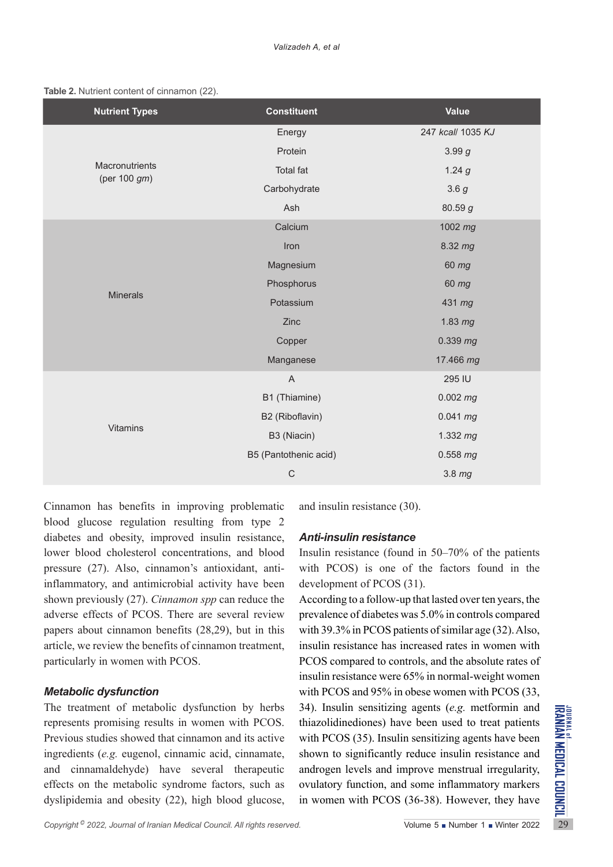|  |  |  |  | Table 2. Nutrient content of cinnamon (22). |  |
|--|--|--|--|---------------------------------------------|--|
|--|--|--|--|---------------------------------------------|--|

| <b>Nutrient Types</b>          | <b>Constituent</b>        | <b>Value</b>      |
|--------------------------------|---------------------------|-------------------|
|                                | Energy                    | 247 kcall 1035 KJ |
|                                | Protein                   | 3.99g             |
| Macronutrients<br>(per 100 gm) | <b>Total fat</b>          | 1.24g             |
|                                | Carbohydrate              | 3.6g              |
|                                | Ash                       | 80.59 g           |
|                                | Calcium                   | 1002 mg           |
|                                | Iron                      | 8.32 mg           |
|                                | Magnesium                 | 60 mg             |
|                                | Phosphorus                | 60 mg             |
| <b>Minerals</b>                | Potassium                 | 431 mg            |
|                                | Zinc                      | 1.83 mg           |
|                                | Copper                    | $0.339$ mg        |
|                                | Manganese                 | 17.466 mg         |
|                                | $\boldsymbol{\mathsf{A}}$ | 295 IU            |
|                                | B1 (Thiamine)             | $0.002$ mg        |
|                                | B2 (Riboflavin)           | $0.041$ mg        |
| <b>Vitamins</b>                | B3 (Niacin)               | $1.332$ mg        |
|                                | B5 (Pantothenic acid)     | $0.558$ mg        |
|                                | $\mathsf C$               | 3.8 mg            |

Cinnamon has benefits in improving problematic blood glucose regulation resulting from type 2 diabetes and obesity, improved insulin resistance, lower blood cholesterol concentrations, and blood pressure (27). Also, cinnamon's antioxidant, antiinflammatory, and antimicrobial activity have been shown previously (27). *Cinnamon spp* can reduce the adverse effects of PCOS. There are several review papers about cinnamon benefits (28,29), but in this article, we review the benefits of cinnamon treatment, particularly in women with PCOS.

#### *Metabolic dysfunction*

The treatment of metabolic dysfunction by herbs 34). Insulin sensitizing agents (*e.g.* metformin and represents promising results in women with PCOS. thiazolidinediones) have been used to treat patients Previous studies The treatment of metabolic dysfunction by herbs represents promising results in women with PCOS. Previous studies showed that cinnamon and its active ingredients (*e.g.* eugenol, cinnamic acid, cinnamate, and cinnamaldehyde) have several therapeutic effects on the metabolic syndrome factors, such as dyslipidemia and obesity (22), high blood glucose,

and insulin resistance (30).

# *Anti-insulin resistance*

Insulin resistance (found in 50–70% of the patients with PCOS) is one of the factors found in the development of PCOS (31).

According to a follow-up that lasted over ten years, the prevalence of diabetes was 5.0% in controls compared with 39.3% in PCOS patients of similar age (32). Also, insulin resistance has increased rates in women with PCOS compared to controls, and the absolute rates of insulin resistance were 65% in normal-weight women with PCOS and 95% in obese women with PCOS (33, 34). Insulin sensitizing agents (*e.g.* metformin and thiazolidinediones) have been used to treat patients with PCOS (35). Insulin sensitizing agents have been shown to significantly reduce insulin resistance and androgen levels and improve menstrual irregularity, ovulatory function, and some inflammatory markers in women with PCOS (36-38). However, they have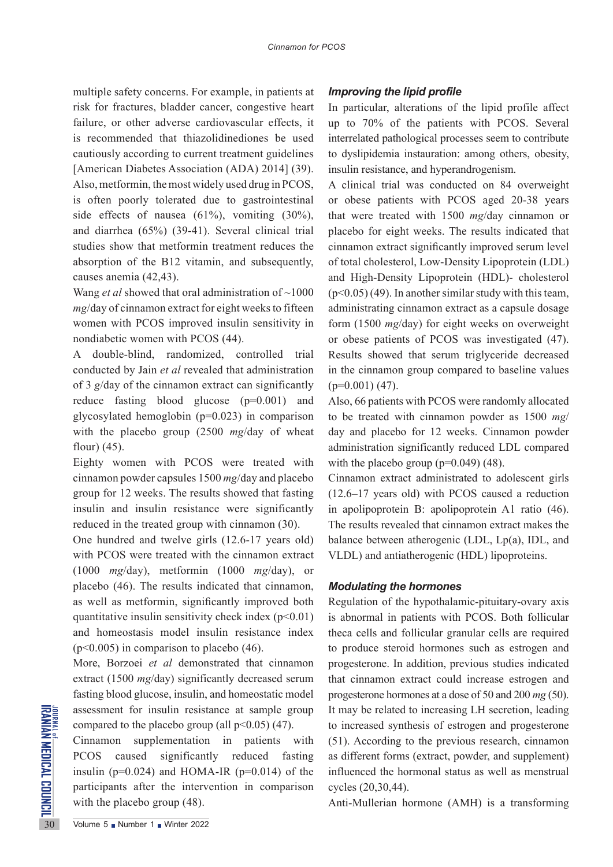multiple safety concerns. For example, in patients at risk for fractures, bladder cancer, congestive heart failure, or other adverse cardiovascular effects, it is recommended that thiazolidinediones be used cautiously according to current treatment guidelines [American Diabetes Association (ADA) 2014] (39). Also, metformin, the most widely used drug in PCOS, is often poorly tolerated due to gastrointestinal side effects of nausea (61%), vomiting (30%), and diarrhea (65%) (39-41). Several clinical trial studies show that metformin treatment reduces the absorption of the B12 vitamin, and subsequently, causes anemia (42,43).

Wang *et al* showed that oral administration of ~1000 *mg*/day of cinnamon extract for eight weeks to fifteen women with PCOS improved insulin sensitivity in nondiabetic women with PCOS (44).

A double-blind, randomized, controlled trial conducted by Jain *et al* revealed that administration of 3 *g*/day of the cinnamon extract can significantly reduce fasting blood glucose (p=0.001) and glycosylated hemoglobin (p=0.023) in comparison with the placebo group (2500 *mg*/day of wheat flour) (45).

Eighty women with PCOS were treated with cinnamon powder capsules 1500 *mg*/day and placebo group for 12 weeks. The results showed that fasting insulin and insulin resistance were significantly reduced in the treated group with cinnamon (30).

One hundred and twelve girls (12.6-17 years old) with PCOS were treated with the cinnamon extract (1000 *mg*/day), metformin (1000 *mg*/day), or placebo (46). The results indicated that cinnamon, as well as metformin, significantly improved both quantitative insulin sensitivity check index  $(p<0.01)$ and homeostasis model insulin resistance index  $(p<0.005)$  in comparison to placebo (46).

More, Borzoei *et al* demonstrated that cinnamon extract (1500 *mg*/day) significantly decreased serum fasting blood glucose, insulin, and homeostatic model assessment for insulin resistance at sample group compared to the placebo group (all  $p<0.05$ ) (47).

EXECUTE ALTERNATION AND EXECUTE THE SAME CONSUMEDING THE CONSUMERCY CONSUMEDING THE THANGED PCOS caused significant insulin (p=0.024) and HOM/<br>participants after the intervention with the placebo group (48).<br>30 Volume 5 N Cinnamon supplementation in patients with PCOS caused significantly reduced fasting insulin ( $p=0.024$ ) and HOMA-IR ( $p=0.014$ ) of the participants after the intervention in comparison with the placebo group (48).

## *Improving the lipid profile*

In particular, alterations of the lipid profile affect up to 70% of the patients with PCOS. Several interrelated pathological processes seem to contribute to dyslipidemia instauration: among others, obesity, insulin resistance, and hyperandrogenism.

A clinical trial was conducted on 84 overweight or obese patients with PCOS aged 20-38 years that were treated with 1500 *mg*/day cinnamon or placebo for eight weeks. The results indicated that cinnamon extract significantly improved serum level of total cholesterol, Low-Density Lipoprotein (LDL) and High-Density Lipoprotein (HDL)- cholesterol  $(p<0.05)$  (49). In another similar study with this team, administrating cinnamon extract as a capsule dosage form (1500 *mg*/day) for eight weeks on overweight or obese patients of PCOS was investigated (47). Results showed that serum triglyceride decreased in the cinnamon group compared to baseline values  $(p=0.001)$  (47).

Also, 66 patients with PCOS were randomly allocated to be treated with cinnamon powder as 1500 *mg*/ day and placebo for 12 weeks. Cinnamon powder administration significantly reduced LDL compared with the placebo group  $(p=0.049)$  (48).

Cinnamon extract administrated to adolescent girls (12.6–17 years old) with PCOS caused a reduction in apolipoprotein B: apolipoprotein A1 ratio (46). The results revealed that cinnamon extract makes the balance between atherogenic (LDL, Lp(a), IDL, and VLDL) and antiatherogenic (HDL) lipoproteins.

#### *Modulating the hormones*

Regulation of the hypothalamic-pituitary-ovary axis is abnormal in patients with PCOS. Both follicular theca cells and follicular granular cells are required to produce steroid hormones such as estrogen and progesterone. In addition, previous studies indicated that cinnamon extract could increase estrogen and progesterone hormones at a dose of 50 and 200 *mg* (50). It may be related to increasing LH secretion, leading to increased synthesis of estrogen and progesterone (51). According to the previous research, cinnamon as different forms (extract, powder, and supplement) influenced the hormonal status as well as menstrual cycles (20,30,44).

Anti-Mullerian hormone (AMH) is a transforming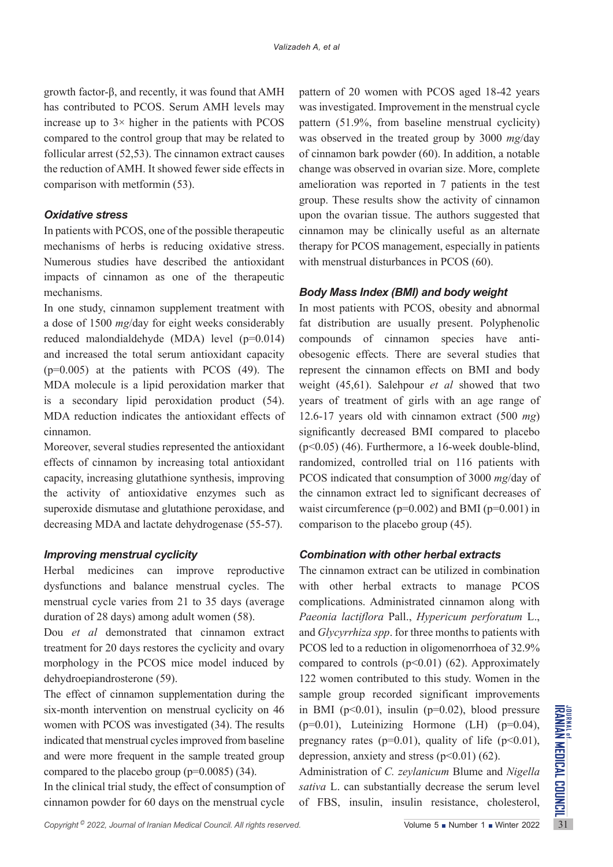growth factor-β, and recently, it was found that AMH has contributed to PCOS. Serum AMH levels may increase up to 3× higher in the patients with PCOS compared to the control group that may be related to follicular arrest (52,53). The cinnamon extract causes the reduction of AMH. It showed fewer side effects in comparison with metformin (53).

## *Oxidative stress*

In patients with PCOS, one of the possible therapeutic mechanisms of herbs is reducing oxidative stress. Numerous studies have described the antioxidant impacts of cinnamon as one of the therapeutic mechanisms.

In one study, cinnamon supplement treatment with a dose of 1500 *mg*/day for eight weeks considerably reduced malondialdehyde (MDA) level (p=0.014) and increased the total serum antioxidant capacity  $(p=0.005)$  at the patients with PCOS (49). The MDA molecule is a lipid peroxidation marker that is a secondary lipid peroxidation product (54). MDA reduction indicates the antioxidant effects of cinnamon.

Moreover, several studies represented the antioxidant effects of cinnamon by increasing total antioxidant capacity, increasing glutathione synthesis, improving the activity of antioxidative enzymes such as superoxide dismutase and glutathione peroxidase, and decreasing MDA and lactate dehydrogenase (55-57).

# *Improving menstrual cyclicity*

Herbal medicines can improve reproductive dysfunctions and balance menstrual cycles. The menstrual cycle varies from 21 to 35 days (average duration of 28 days) among adult women (58).

Dou *et al* demonstrated that cinnamon extract treatment for 20 days restores the cyclicity and ovary morphology in the PCOS mice model induced by dehydroepiandrosterone (59).

six-month intervention on menstrual cyclicity on 46 in BMI (p<0.01), insulin (p=0.02), blood pressure<br>women with PCOS was investigated (34). The results (p=0.01), Luteinizing Hormone (LH) (p=0.04),<br>indicated that menstrua The effect of cinnamon supplementation during the six-month intervention on menstrual cyclicity on 46 women with PCOS was investigated (34). The results indicated that menstrual cycles improved from baseline and were more frequent in the sample treated group compared to the placebo group ( $p=0.0085$ ) (34).

In the clinical trial study, the effect of consumption of cinnamon powder for 60 days on the menstrual cycle

pattern of 20 women with PCOS aged 18-42 years was investigated. Improvement in the menstrual cycle pattern (51.9%, from baseline menstrual cyclicity) was observed in the treated group by 3000 *mg*/day of cinnamon bark powder (60). In addition, a notable change was observed in ovarian size. More, complete amelioration was reported in 7 patients in the test group. These results show the activity of cinnamon upon the ovarian tissue. The authors suggested that cinnamon may be clinically useful as an alternate therapy for PCOS management, especially in patients with menstrual disturbances in PCOS (60).

# *Body Mass Index (BMI) and body weight*

In most patients with PCOS, obesity and abnormal fat distribution are usually present. Polyphenolic compounds of cinnamon species have antiobesogenic effects. There are several studies that represent the cinnamon effects on BMI and body weight (45,61). Salehpour *et al* showed that two years of treatment of girls with an age range of 12.6-17 years old with cinnamon extract (500 *mg*) significantly decreased BMI compared to placebo  $(p<0.05)$  (46). Furthermore, a 16-week double-blind, randomized, controlled trial on 116 patients with PCOS indicated that consumption of 3000 *mg*/day of the cinnamon extract led to significant decreases of waist circumference ( $p=0.002$ ) and BMI ( $p=0.001$ ) in comparison to the placebo group (45).

# *Combination with other herbal extracts*

The cinnamon extract can be utilized in combination with other herbal extracts to manage PCOS complications. Administrated cinnamon along with *Paeonia lactiflora* Pall., *Hypericum perforatum* L., and *Glycyrrhiza spp*. for three months to patients with PCOS led to a reduction in oligomenorrhoea of 32.9% compared to controls  $(p<0.01)$  (62). Approximately 122 women contributed to this study. Women in the sample group recorded significant improvements in BMI ( $p<0.01$ ), insulin ( $p=0.02$ ), blood pressure  $(p=0.01)$ , Luteinizing Hormone (LH)  $(p=0.04)$ , pregnancy rates ( $p=0.01$ ), quality of life ( $p<0.01$ ), depression, anxiety and stress  $(p<0.01)$  (62).

Administration of *C. zeylanicum* Blume and *Nigella sativa* L. can substantially decrease the serum level of FBS, insulin, insulin resistance, cholesterol,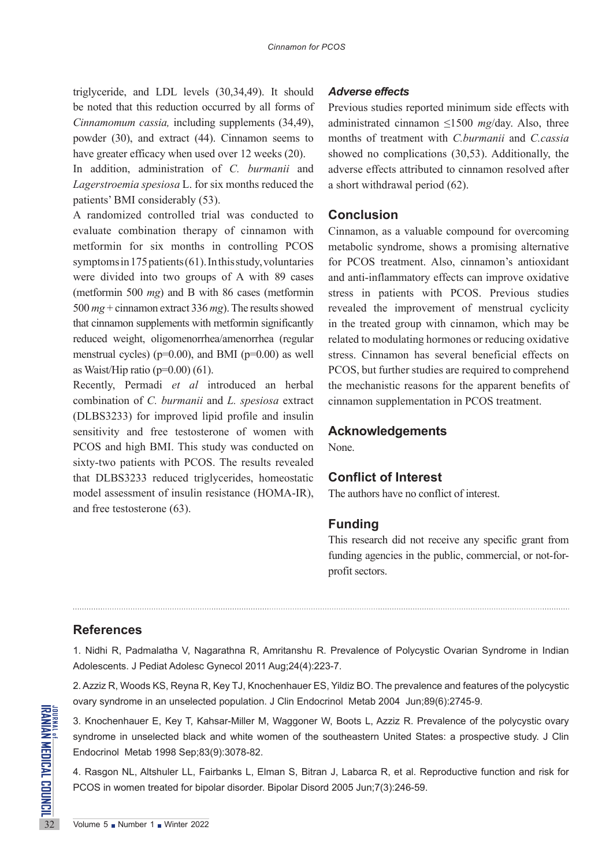triglyceride, and LDL levels (30,34,49). It should be noted that this reduction occurred by all forms of *Cinnamomum cassia,* including supplements (34,49), powder (30), and extract (44). Cinnamon seems to have greater efficacy when used over 12 weeks (20).

In addition, administration of *C. burmanii* and *Lagerstroemia spesiosa* L. for six months reduced the patients' BMI considerably (53).

A randomized controlled trial was conducted to evaluate combination therapy of cinnamon with metformin for six months in controlling PCOS symptoms in 175 patients (61). In this study, voluntaries were divided into two groups of A with 89 cases (metformin 500 *mg*) and B with 86 cases (metformin 500 *mg* + cinnamon extract 336 *mg*). The results showed that cinnamon supplements with metformin significantly reduced weight, oligomenorrhea/amenorrhea (regular menstrual cycles) ( $p=0.00$ ), and BMI ( $p=0.00$ ) as well as Waist/Hip ratio ( $p=0.00$ ) (61).

Recently, Permadi *et al* introduced an herbal combination of *C. burmanii* and *L. spesiosa* extract (DLBS3233) for improved lipid profile and insulin sensitivity and free testosterone of women with PCOS and high BMI. This study was conducted on sixty-two patients with PCOS. The results revealed that DLBS3233 reduced triglycerides, homeostatic model assessment of insulin resistance (HOMA-IR), and free testosterone (63).

## *Adverse effects*

Previous studies reported minimum side effects with administrated cinnamon ≤1500 *mg*/day. Also, three months of treatment with *C.burmanii* and *C.cassia*  showed no complications (30,53). Additionally, the adverse effects attributed to cinnamon resolved after a short withdrawal period (62).

# **Conclusion**

Cinnamon, as a valuable compound for overcoming metabolic syndrome, shows a promising alternative for PCOS treatment. Also, cinnamon's antioxidant and anti-inflammatory effects can improve oxidative stress in patients with PCOS. Previous studies revealed the improvement of menstrual cyclicity in the treated group with cinnamon, which may be related to modulating hormones or reducing oxidative stress. Cinnamon has several beneficial effects on PCOS, but further studies are required to comprehend the mechanistic reasons for the apparent benefits of cinnamon supplementation in PCOS treatment.

## **Acknowledgements**

None.

#### **Conflict of Interest**

The authors have no conflict of interest.

# **Funding**

This research did not receive any specific grant from funding agencies in the public, commercial, or not-forprofit sectors.

# **References**

1. Nidhi R, Padmalatha V, Nagarathna R, Amritanshu R. Prevalence of Polycystic Ovarian Syndrome in Indian Adolescents. J Pediat Adolesc Gynecol 2011 Aug;24(4):223-7.

2. Azziz R, Woods KS, Reyna R, Key TJ, Knochenhauer ES, Yildiz BO. The prevalence and features of the polycystic ovary syndrome in an unselected population. J Clin Endocrinol Metab 2004 Jun;89(6):2745-9.

**EXAMPLE 3.** Knochenhauer E, Key T, Ka<br>syndrome in unselected black<br>Endocrinol Metab 1998 Sep;83<br>4. Rasgon NL, Altshuler LL, Fa<br>PCOS in women treated for bip<br>32<br>Volume 5 • Number 1 • Winter 2022 3. Knochenhauer E, Key T, Kahsar-Miller M, Waggoner W, Boots L, Azziz R. Prevalence of the polycystic ovary syndrome in unselected black and white women of the southeastern United States: a prospective study. J Clin Endocrinol Metab 1998 Sep;83(9):3078-82.

4. Rasgon NL, Altshuler LL, Fairbanks L, Elman S, Bitran J, Labarca R, et al. Reproductive function and risk for PCOS in women treated for bipolar disorder. Bipolar Disord 2005 Jun;7(3):246-59.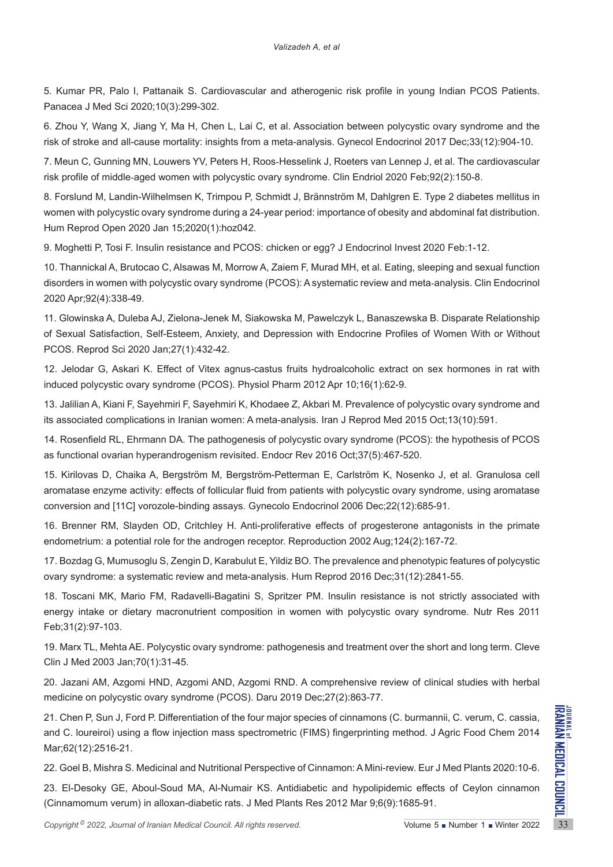5. Kumar PR, Palo I, Pattanaik S. Cardiovascular and atherogenic risk profile in young Indian PCOS Patients. Panacea J Med Sci 2020;10(3):299-302.

6. Zhou Y, Wang X, Jiang Y, Ma H, Chen L, Lai C, et al. Association between polycystic ovary syndrome and the risk of stroke and all-cause mortality: insights from a meta-analysis. Gynecol Endocrinol 2017 Dec;33(12):904-10.

7. Meun C, Gunning MN, Louwers YV, Peters H, Roos‐Hesselink J, Roeters van Lennep J, et al. The cardiovascular risk profile of middle‐aged women with polycystic ovary syndrome. Clin Endriol 2020 Feb;92(2):150-8.

8. Forslund M, Landin-Wilhelmsen K, Trimpou P, Schmidt J, Brännström M, Dahlgren E. Type 2 diabetes mellitus in women with polycystic ovary syndrome during a 24-year period: importance of obesity and abdominal fat distribution. Hum Reprod Open 2020 Jan 15;2020(1):hoz042.

9. Moghetti P, Tosi F. Insulin resistance and PCOS: chicken or egg? J Endocrinol Invest 2020 Feb:1-12.

10. Thannickal A, Brutocao C, Alsawas M, Morrow A, Zaiem F, Murad MH, et al. Eating, sleeping and sexual function disorders in women with polycystic ovary syndrome (PCOS): A systematic review and meta‐analysis. Clin Endocrinol 2020 Apr;92(4):338-49.

11. Glowinska A, Duleba AJ, Zielona-Jenek M, Siakowska M, Pawelczyk L, Banaszewska B. Disparate Relationship of Sexual Satisfaction, Self-Esteem, Anxiety, and Depression with Endocrine Profiles of Women With or Without PCOS. Reprod Sci 2020 Jan;27(1):432-42.

12. Jelodar G, Askari K. Effect of Vitex agnus-castus fruits hydroalcoholic extract on sex hormones in rat with induced polycystic ovary syndrome (PCOS). Physiol Pharm 2012 Apr 10;16(1):62-9.

13. Jalilian A, Kiani F, Sayehmiri F, Sayehmiri K, Khodaee Z, Akbari M. Prevalence of polycystic ovary syndrome and its associated complications in Iranian women: A meta-analysis. Iran J Reprod Med 2015 Oct;13(10):591.

14. Rosenfield RL, Ehrmann DA. The pathogenesis of polycystic ovary syndrome (PCOS): the hypothesis of PCOS as functional ovarian hyperandrogenism revisited. Endocr Rev 2016 Oct;37(5):467-520.

15. Kirilovas D, Chaika A, Bergström M, Bergström-Petterman E, Carlström K, Nosenko J, et al. Granulosa cell aromatase enzyme activity: effects of follicular fluid from patients with polycystic ovary syndrome, using aromatase conversion and [11C] vorozole-binding assays. Gynecolo Endocrinol 2006 Dec;22(12):685-91.

16. Brenner RM, Slayden OD, Critchley H. Anti-proliferative effects of progesterone antagonists in the primate endometrium: a potential role for the androgen receptor. Reproduction 2002 Aug;124(2):167-72.

17. Bozdag G, Mumusoglu S, Zengin D, Karabulut E, Yildiz BO. The prevalence and phenotypic features of polycystic ovary syndrome: a systematic review and meta-analysis. Hum Reprod 2016 Dec;31(12):2841-55.

18. Toscani MK, Mario FM, Radavelli-Bagatini S, Spritzer PM. Insulin resistance is not strictly associated with energy intake or dietary macronutrient composition in women with polycystic ovary syndrome. Nutr Res 2011 Feb;31(2):97-103.

19. Marx TL, Mehta AE. Polycystic ovary syndrome: pathogenesis and treatment over the short and long term. Cleve Clin J Med 2003 Jan;70(1):31-45.

20. Jazani AM, Azgomi HND, Azgomi AND, Azgomi RND. A comprehensive review of clinical studies with herbal medicine on polycystic ovary syndrome (PCOS). Daru 2019 Dec;27(2):863-77.

21. Chen P, Sun J, Ford P. Differentiation of the four major species of cinnamons (C. burmannii, C. verum, C. cassia,<br>
and C. loureiroi) using a flow injection mass spectrometric (FIMS) fingerprinting method. J Agric Food 21. Chen P, Sun J, Ford P. Differentiation of the four major species of cinnamons (C. burmannii, C. verum, C. cassia, and C. loureiroi) using a flow injection mass spectrometric (FIMS) fingerprinting method. J Agric Food Chem 2014 Mar;62(12):2516-21.

22. Goel B, Mishra S. Medicinal and Nutritional Perspective of Cinnamon: A Mini-review. Eur J Med Plants 2020:10-6.

23. El-Desoky GE, Aboul-Soud MA, Al-Numair KS. Antidiabetic and hypolipidemic effects of Ceylon cinnamon (Cinnamomum verum) in alloxan-diabetic rats. J Med Plants Res 2012 Mar 9;6(9):1685-91.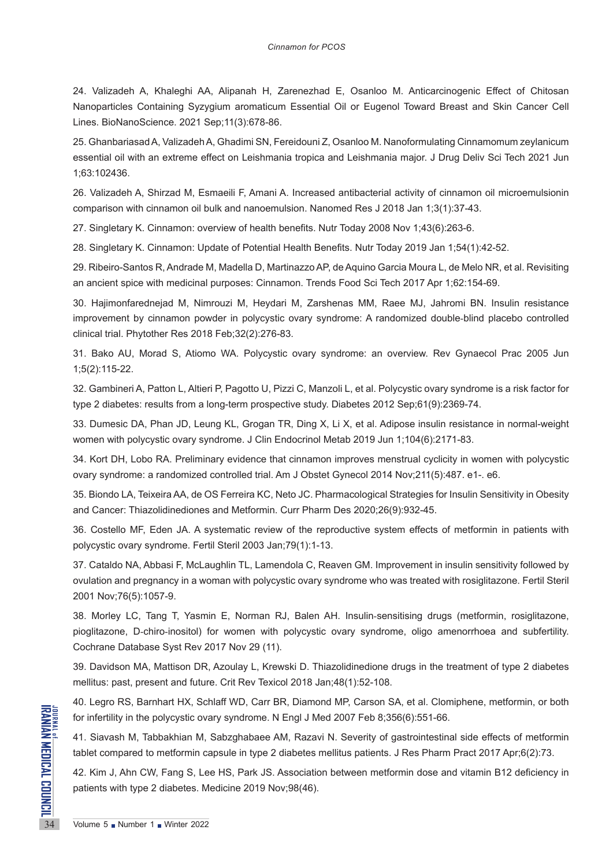24. Valizadeh A, Khaleghi AA, Alipanah H, Zarenezhad E, Osanloo M. Anticarcinogenic Effect of Chitosan Nanoparticles Containing Syzygium aromaticum Essential Oil or Eugenol Toward Breast and Skin Cancer Cell Lines. BioNanoScience. 2021 Sep;11(3):678-86.

25. Ghanbariasad A, Valizadeh A, Ghadimi SN, Fereidouni Z, Osanloo M. Nanoformulating Cinnamomum zeylanicum essential oil with an extreme effect on Leishmania tropica and Leishmania major. J Drug Deliv Sci Tech 2021 Jun 1;63:102436.

26. Valizadeh A, Shirzad M, Esmaeili F, Amani A. Increased antibacterial activity of cinnamon oil microemulsionin comparison with cinnamon oil bulk and nanoemulsion. Nanomed Res J 2018 Jan 1;3(1):37-43.

27. Singletary K. Cinnamon: overview of health benefits. Nutr Today 2008 Nov 1;43(6):263-6.

28. Singletary K. Cinnamon: Update of Potential Health Benefits. Nutr Today 2019 Jan 1;54(1):42-52.

29. Ribeiro-Santos R, Andrade M, Madella D, Martinazzo AP, de Aquino Garcia Moura L, de Melo NR, et al. Revisiting an ancient spice with medicinal purposes: Cinnamon. Trends Food Sci Tech 2017 Apr 1;62:154-69.

30. Hajimonfarednejad M, Nimrouzi M, Heydari M, Zarshenas MM, Raee MJ, Jahromi BN. Insulin resistance improvement by cinnamon powder in polycystic ovary syndrome: A randomized double‐blind placebo controlled clinical trial. Phytother Res 2018 Feb;32(2):276-83.

31. Bako AU, Morad S, Atiomo WA. Polycystic ovary syndrome: an overview. Rev Gynaecol Prac 2005 Jun 1;5(2):115-22.

32. Gambineri A, Patton L, Altieri P, Pagotto U, Pizzi C, Manzoli L, et al. Polycystic ovary syndrome is a risk factor for type 2 diabetes: results from a long-term prospective study. Diabetes 2012 Sep;61(9):2369-74.

33. Dumesic DA, Phan JD, Leung KL, Grogan TR, Ding X, Li X, et al. Adipose insulin resistance in normal-weight women with polycystic ovary syndrome. J Clin Endocrinol Metab 2019 Jun 1;104(6):2171-83.

34. Kort DH, Lobo RA. Preliminary evidence that cinnamon improves menstrual cyclicity in women with polycystic ovary syndrome: a randomized controlled trial. Am J Obstet Gynecol 2014 Nov;211(5):487. e1-. e6.

35. Biondo LA, Teixeira AA, de OS Ferreira KC, Neto JC. Pharmacological Strategies for Insulin Sensitivity in Obesity and Cancer: Thiazolidinediones and Metformin. Curr Pharm Des 2020;26(9):932-45.

36. Costello MF, Eden JA. A systematic review of the reproductive system effects of metformin in patients with polycystic ovary syndrome. Fertil Steril 2003 Jan;79(1):1-13.

37. Cataldo NA, Abbasi F, McLaughlin TL, Lamendola C, Reaven GM. Improvement in insulin sensitivity followed by ovulation and pregnancy in a woman with polycystic ovary syndrome who was treated with rosiglitazone. Fertil Steril 2001 Nov;76(5):1057-9.

38. Morley LC, Tang T, Yasmin E, Norman RJ, Balen AH. Insulin‐sensitising drugs (metformin, rosiglitazone, pioglitazone, D‐chiro‐inositol) for women with polycystic ovary syndrome, oligo amenorrhoea and subfertility. Cochrane Database Syst Rev 2017 Nov 29 (11).

39. Davidson MA, Mattison DR, Azoulay L, Krewski D. Thiazolidinedione drugs in the treatment of type 2 diabetes mellitus: past, present and future. Crit Rev Texicol 2018 Jan;48(1):52-108.

40. Legro RS, Barnhart HX, Schlaff WD, Carr BR, Diamond MP, Carson SA, et al. Clomiphene, metformin, or both for infertility in the polycystic ovary syndrome. N Engl J Med 2007 Feb 8;356(6):551-66.

**EXAMPLE THE SERVE AND SERVE AND SERVE AND SERVE AND SERVE AND SERVE AND SERVE AND SERVE AND SERVE AND SERVE AND SERVE AND SERVE AND SAFEKTING SUPPORT OF SURFACE AND SAFEKTING SUPPORT 1 WINTER 2022** 41. Siavash M, Tabbakhian M, Sabzghabaee AM, Razavi N. Severity of gastrointestinal side effects of metformin tablet compared to metformin capsule in type 2 diabetes mellitus patients. J Res Pharm Pract 2017 Apr;6(2):73.

42. Kim J, Ahn CW, Fang S, Lee HS, Park JS. Association between metformin dose and vitamin B12 deficiency in patients with type 2 diabetes. Medicine 2019 Nov;98(46).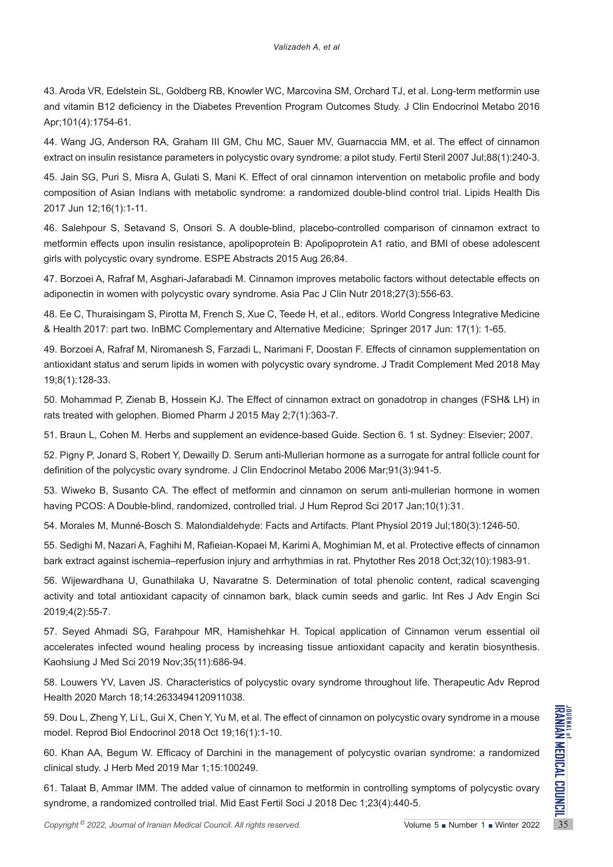43. Aroda VR, Edelstein SL, Goldberg RB, Knowler WC, Marcovina SM, Orchard TJ, et al. Long-term metformin use and vitamin B12 deficiency in the Diabetes Prevention Program Outcomes Study. J Clin Endocrinol Metabo 2016 Apr;101(4):1754-61.

44. Wang JG, Anderson RA, Graham III GM, Chu MC, Sauer MV, Guarnaccia MM, et al. The effect of cinnamon extract on insulin resistance parameters in polycystic ovary syndrome: a pilot study. Fertil Steril 2007 Jul;88(1):240-3.

45. Jain SG, Puri S, Misra A, Gulati S, Mani K. Effect of oral cinnamon intervention on metabolic profile and body composition of Asian Indians with metabolic syndrome: a randomized double-blind control trial. Lipids Health Dis 2017 Jun 12;16(1):1-11.

46. Salehpour S, Setavand S, Onsori S. A double-blind, placebo-controlled comparison of cinnamon extract to metformin effects upon insulin resistance, apolipoprotein B: Apolipoprotein A1 ratio, and BMI of obese adolescent girls with polycystic ovary syndrome. ESPE Abstracts 2015 Aug 26;84.

47. Borzoei A, Rafraf M, Asghari-Jafarabadi M. Cinnamon improves metabolic factors without detectable effects on adiponectin in women with polycystic ovary syndrome. Asia Pac J Clin Nutr 2018;27(3):556-63.

48. Ee C, Thuraisingam S, Pirotta M, French S, Xue C, Teede H, et al., editors. World Congress Integrative Medicine & Health 2017: part two. InBMC Complementary and Alternative Medicine; Springer 2017 Jun: 17(1): 1-65.

49. Borzoei A, Rafraf M, Niromanesh S, Farzadi L, Narimani F, Doostan F. Effects of cinnamon supplementation on antioxidant status and serum lipids in women with polycystic ovary syndrome. J Tradit Complement Med 2018 May 19;8(1):128-33.

50. Mohammad P, Zienab B, Hossein KJ. The Effect of cinnamon extract on gonadotrop in changes (FSH& LH) in rats treated with gelophen. Biomed Pharm J 2015 May 2;7(1):363-7.

51. Braun L, Cohen M. Herbs and supplement an evidence-based Guide. Section 6. 1 st. Sydney: Elsevier; 2007.

52. Pigny P, Jonard S, Robert Y, Dewailly D. Serum anti-Mullerian hormone as a surrogate for antral follicle count for definition of the polycystic ovary syndrome. J Clin Endocrinol Metabo 2006 Mar;91(3):941-5.

53. Wiweko B, Susanto CA. The effect of metformin and cinnamon on serum anti-mullerian hormone in women having PCOS: A Double-blind, randomized, controlled trial. J Hum Reprod Sci 2017 Jan;10(1):31.

54. Morales M, Munné-Bosch S. Malondialdehyde: Facts and Artifacts. Plant Physiol 2019 Jul;180(3):1246-50.

55. Sedighi M, Nazari A, Faghihi M, Rafieian‐Kopaei M, Karimi A, Moghimian M, et al. Protective effects of cinnamon bark extract against ischemia–reperfusion injury and arrhythmias in rat. Phytother Res 2018 Oct;32(10):1983-91.

56. Wijewardhana U, Gunathilaka U, Navaratne S. Determination of total phenolic content, radical scavenging activity and total antioxidant capacity of cinnamon bark, black cumin seeds and garlic. Int Res J Adv Engin Sci 2019;4(2):55-7.

57. Seyed Ahmadi SG, Farahpour MR, Hamishehkar H. Topical application of Cinnamon verum essential oil accelerates infected wound healing process by increasing tissue antioxidant capacity and keratin biosynthesis. Kaohsiung J Med Sci 2019 Nov;35(11):686-94.

58. Louwers YV, Laven JS. Characteristics of polycystic ovary syndrome throughout life. Therapeutic Adv Reprod Health 2020 March 18;14:2633494120911038.

**Copyright <sup>©</sup>** 2022, *Journal of Iranian Medical Council. All rights reserved.<br>
Copyright <sup>®</sup> 2022, <i>Journal of Iranian Medical Council. All rights reserved.*<br>
Copyright <sup>®</sup> 2022, *Journal of Iranian Medical Council. Al* 59. Dou L, Zheng Y, Li L, Gui X, Chen Y, Yu M, et al. The effect of cinnamon on polycystic ovary syndrome in a mouse model. Reprod Biol Endocrinol 2018 Oct 19;16(1):1-10.

60. Khan AA, Begum W. Efficacy of Darchini in the management of polycystic ovarian syndrome: a randomized clinical study. J Herb Med 2019 Mar 1;15:100249.

61. Talaat B, Ammar IMM. The added value of cinnamon to metformin in controlling symptoms of polycystic ovary syndrome, a randomized controlled trial. Mid East Fertil Soci J 2018 Dec 1;23(4):440-5.